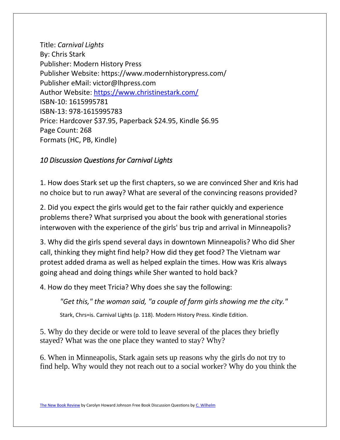Title: *Carnival Lights* By: Chris Stark Publisher: Modern History Press Publisher Website: https://www.modernhistorypress.com/ Publisher eMail: victor@lhpress.com Author Website:<https://www.christinestark.com/> ISBN-10: 1615995781 ISBN-13: 978-1615995783 Price: Hardcover \$37.95, Paperback \$24.95, Kindle \$6.95 Page Count: 268 Formats (HC, PB, Kindle)

## *10 Discussion Questions for Carnival Lights*

1. How does Stark set up the first chapters, so we are convinced Sher and Kris had no choice but to run away? What are several of the convincing reasons provided?

2. Did you expect the girls would get to the fair rather quickly and experience problems there? What surprised you about the book with generational stories interwoven with the experience of the girls' bus trip and arrival in Minneapolis?

3. Why did the girls spend several days in downtown Minneapolis? Who did Sher call, thinking they might find help? How did they get food? The Vietnam war protest added drama as well as helped explain the times. How was Kris always going ahead and doing things while Sher wanted to hold back?

4. How do they meet Tricia? Why does she say the following:

*"Get this," the woman said, "a couple of farm girls showing me the city."*

Stark, Chrs=is. Carnival Lights (p. 118). Modern History Press. Kindle Edition.

5. Why do they decide or were told to leave several of the places they briefly stayed? What was the one place they wanted to stay? Why?

6. When in Minneapolis, Stark again sets up reasons why the girls do not try to find help. Why would they not reach out to a social worker? Why do you think the